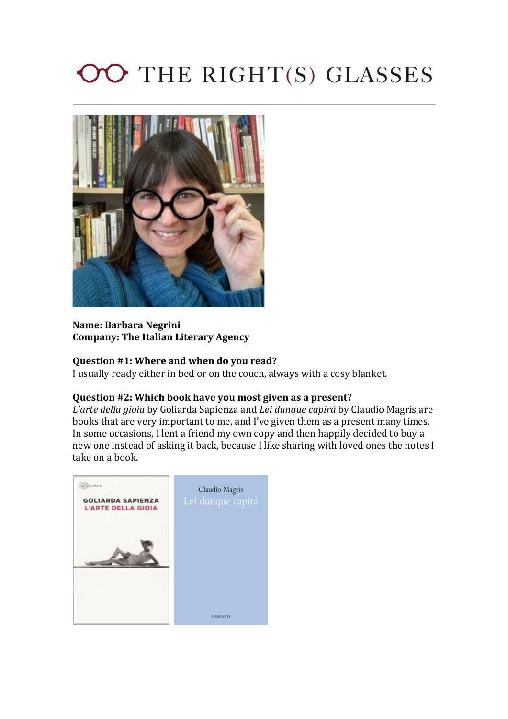# OO THE RIGHT(S) GLASSES



## **Name: Barbara Negrini Company: The Italian Literary Agency**

## **Question #1: Where and when do you read?**

I usually ready either in bed or on the couch, always with a cosy blanket.

#### **Question #2: Which book have you most given as a present?**

*L'arte della gioia* by Goliarda Sapienza and *Lei dunque capirà* by Claudio Magris are books that are very important to me, and I've given them as a present many times. In some occasions, I lent a friend my own copy and then happily decided to buy a new one instead of asking it back, because I like sharing with loved ones the notes I take on a book.